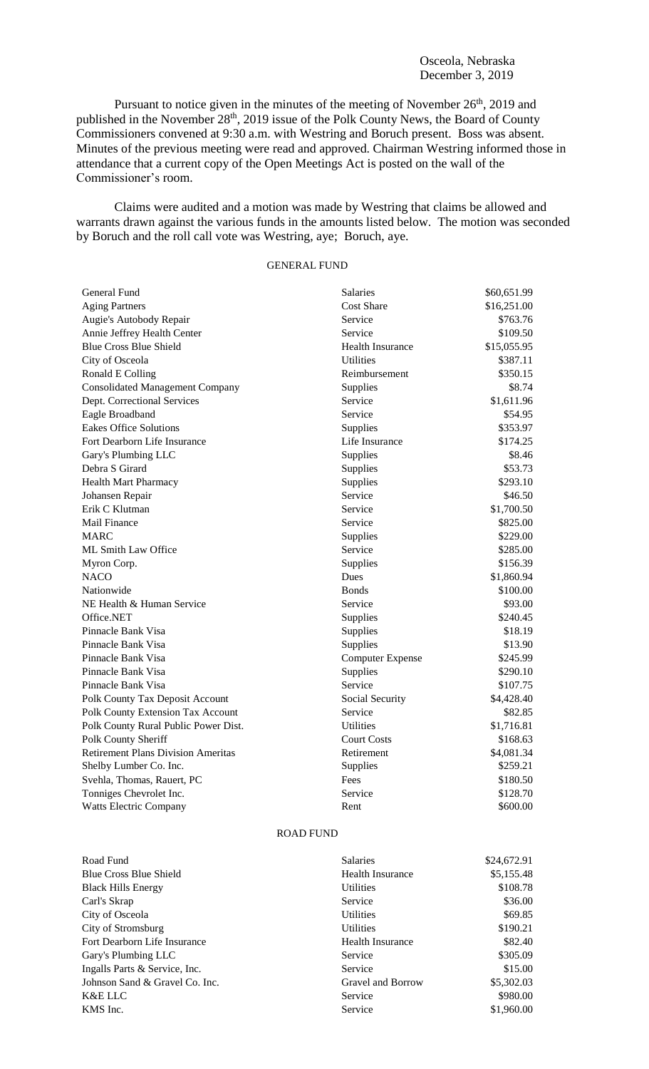Pursuant to notice given in the minutes of the meeting of November  $26<sup>th</sup>$ , 2019 and published in the November 28<sup>th</sup>, 2019 issue of the Polk County News, the Board of County Commissioners convened at 9:30 a.m. with Westring and Boruch present. Boss was absent. Minutes of the previous meeting were read and approved. Chairman Westring informed those in attendance that a current copy of the Open Meetings Act is posted on the wall of the Commissioner's room.

Claims were audited and a motion was made by Westring that claims be allowed and warrants drawn against the various funds in the amounts listed below. The motion was seconded by Boruch and the roll call vote was Westring, aye; Boruch, aye.

## GENERAL FUND

| General Fund                              | Salaries                | \$60,651.99 |  |
|-------------------------------------------|-------------------------|-------------|--|
| <b>Aging Partners</b>                     | <b>Cost Share</b>       | \$16,251.00 |  |
| Augie's Autobody Repair                   | Service                 | \$763.76    |  |
| Annie Jeffrey Health Center               | Service                 | \$109.50    |  |
| <b>Blue Cross Blue Shield</b>             | <b>Health Insurance</b> | \$15,055.95 |  |
| City of Osceola                           | <b>Utilities</b>        | \$387.11    |  |
| Ronald E Colling                          | Reimbursement           | \$350.15    |  |
| <b>Consolidated Management Company</b>    | Supplies                | \$8.74      |  |
| Dept. Correctional Services               | Service                 | \$1,611.96  |  |
| Eagle Broadband                           | Service                 | \$54.95     |  |
| <b>Eakes Office Solutions</b>             | Supplies                | \$353.97    |  |
| Fort Dearborn Life Insurance              | Life Insurance          | \$174.25    |  |
| Gary's Plumbing LLC                       | Supplies                | \$8.46      |  |
| Debra S Girard                            | Supplies                | \$53.73     |  |
| <b>Health Mart Pharmacy</b>               | Supplies                | \$293.10    |  |
| Johansen Repair                           | Service                 | \$46.50     |  |
| Erik C Klutman                            | Service                 | \$1,700.50  |  |
| <b>Mail Finance</b>                       | Service                 | \$825.00    |  |
| <b>MARC</b>                               | Supplies                | \$229.00    |  |
| <b>ML Smith Law Office</b>                | Service                 | \$285.00    |  |
| Myron Corp.                               | Supplies                | \$156.39    |  |
| <b>NACO</b>                               | Dues                    | \$1,860.94  |  |
| Nationwide                                | <b>Bonds</b>            | \$100.00    |  |
| NE Health & Human Service                 | Service                 | \$93.00     |  |
| Office.NET                                | Supplies                | \$240.45    |  |
| Pinnacle Bank Visa                        | Supplies                | \$18.19     |  |
| Pinnacle Bank Visa                        | Supplies                | \$13.90     |  |
| Pinnacle Bank Visa                        | <b>Computer Expense</b> | \$245.99    |  |
| Pinnacle Bank Visa                        | Supplies                | \$290.10    |  |
| Pinnacle Bank Visa                        | Service                 | \$107.75    |  |
| Polk County Tax Deposit Account           | Social Security         | \$4,428.40  |  |
| Polk County Extension Tax Account         | Service                 | \$82.85     |  |
| Polk County Rural Public Power Dist.      | <b>Utilities</b>        | \$1,716.81  |  |
| Polk County Sheriff                       | <b>Court Costs</b>      | \$168.63    |  |
| <b>Retirement Plans Division Ameritas</b> | Retirement              | \$4,081.34  |  |
| Shelby Lumber Co. Inc.                    | Supplies                | \$259.21    |  |
| Svehla, Thomas, Rauert, PC                | Fees                    | \$180.50    |  |
| Tonniges Chevrolet Inc.                   | Service                 | \$128.70    |  |
| <b>Watts Electric Company</b>             | Rent                    | \$600.00    |  |

## ROAD FUND

| Road Fund                      | <b>Salaries</b>         | \$24,672.91 |
|--------------------------------|-------------------------|-------------|
| <b>Blue Cross Blue Shield</b>  | <b>Health Insurance</b> | \$5,155.48  |
| <b>Black Hills Energy</b>      | <b>Utilities</b>        | \$108.78    |
| Carl's Skrap                   | Service                 | \$36.00     |
| City of Osceola                | <b>Utilities</b>        | \$69.85     |
| City of Stromsburg             | <b>Utilities</b>        | \$190.21    |
| Fort Dearborn Life Insurance   | <b>Health Insurance</b> | \$82.40     |
| Gary's Plumbing LLC            | Service                 | \$305.09    |
| Ingalls Parts & Service, Inc.  | Service                 | \$15.00     |
| Johnson Sand & Gravel Co. Inc. | Gravel and Borrow       | \$5,302.03  |
| K&E LLC                        | Service                 | \$980.00    |
| KMS Inc.                       | Service                 | \$1,960.00  |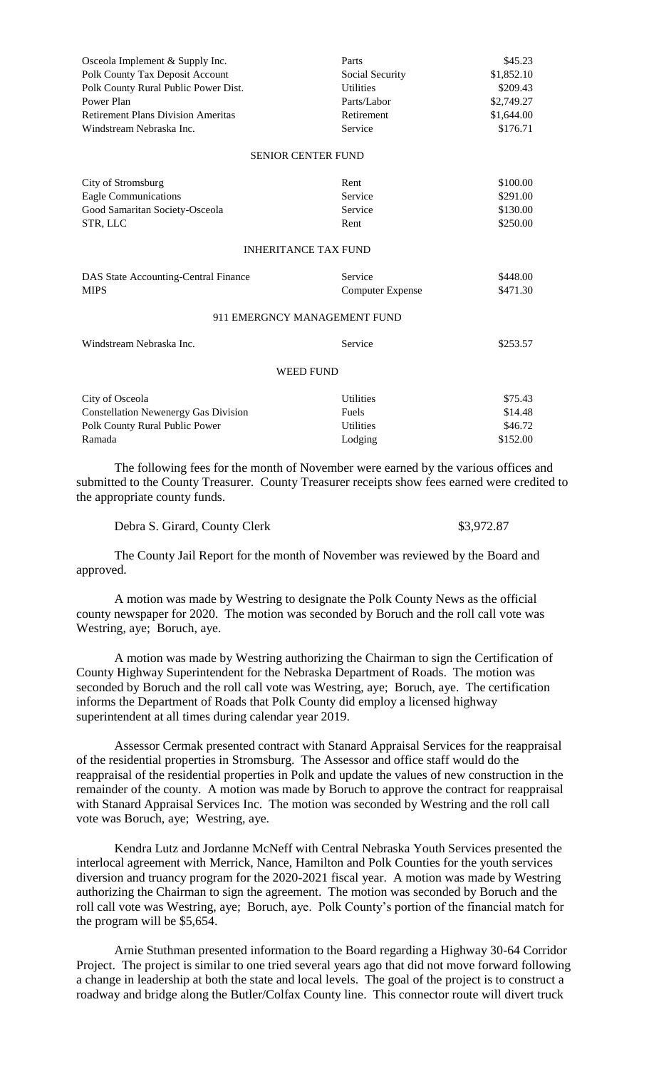| Osceola Implement & Supply Inc.             | Parts                   | \$45.23                |  |
|---------------------------------------------|-------------------------|------------------------|--|
| Polk County Tax Deposit Account             | Social Security         | \$1,852.10             |  |
| Polk County Rural Public Power Dist.        | <b>Utilities</b>        | \$209.43<br>\$2,749.27 |  |
| Power Plan                                  | Parts/Labor             |                        |  |
| <b>Retirement Plans Division Ameritas</b>   | Retirement              | \$1,644.00             |  |
| Windstream Nebraska Inc.                    | Service                 | \$176.71               |  |
| <b>SENIOR CENTER FUND</b>                   |                         |                        |  |
| City of Stromsburg                          | Rent                    | \$100.00               |  |
| <b>Eagle Communications</b>                 | Service                 | \$291.00               |  |
| Good Samaritan Society-Osceola              | Service                 | \$130.00               |  |
| STR, LLC                                    | Rent                    | \$250.00               |  |
| <b>INHERITANCE TAX FUND</b>                 |                         |                        |  |
| DAS State Accounting-Central Finance        | Service                 | \$448.00               |  |
| <b>MIPS</b>                                 | <b>Computer Expense</b> | \$471.30               |  |
| 911 EMERGNCY MANAGEMENT FUND                |                         |                        |  |
| Windstream Nebraska Inc.                    | Service                 | \$253.57               |  |
| <b>WEED FUND</b>                            |                         |                        |  |
| City of Osceola                             | <b>Utilities</b>        | \$75.43                |  |
| <b>Constellation Newenergy Gas Division</b> | Fuels                   | \$14.48                |  |
| Polk County Rural Public Power              | <b>Utilities</b>        | \$46.72                |  |
| Ramada                                      | Lodging                 | \$152.00               |  |

The following fees for the month of November were earned by the various offices and submitted to the County Treasurer. County Treasurer receipts show fees earned were credited to the appropriate county funds.

| Debra S. Girard, County Clerk | \$3,972.87 |  |
|-------------------------------|------------|--|
|                               |            |  |

The County Jail Report for the month of November was reviewed by the Board and approved.

A motion was made by Westring to designate the Polk County News as the official county newspaper for 2020. The motion was seconded by Boruch and the roll call vote was Westring, aye; Boruch, aye.

A motion was made by Westring authorizing the Chairman to sign the Certification of County Highway Superintendent for the Nebraska Department of Roads. The motion was seconded by Boruch and the roll call vote was Westring, aye; Boruch, aye. The certification informs the Department of Roads that Polk County did employ a licensed highway superintendent at all times during calendar year 2019.

Assessor Cermak presented contract with Stanard Appraisal Services for the reappraisal of the residential properties in Stromsburg. The Assessor and office staff would do the reappraisal of the residential properties in Polk and update the values of new construction in the remainder of the county. A motion was made by Boruch to approve the contract for reappraisal with Stanard Appraisal Services Inc. The motion was seconded by Westring and the roll call vote was Boruch, aye; Westring, aye.

Kendra Lutz and Jordanne McNeff with Central Nebraska Youth Services presented the interlocal agreement with Merrick, Nance, Hamilton and Polk Counties for the youth services diversion and truancy program for the 2020-2021 fiscal year. A motion was made by Westring authorizing the Chairman to sign the agreement. The motion was seconded by Boruch and the roll call vote was Westring, aye; Boruch, aye. Polk County's portion of the financial match for the program will be \$5,654.

Arnie Stuthman presented information to the Board regarding a Highway 30-64 Corridor Project. The project is similar to one tried several years ago that did not move forward following a change in leadership at both the state and local levels. The goal of the project is to construct a roadway and bridge along the Butler/Colfax County line. This connector route will divert truck